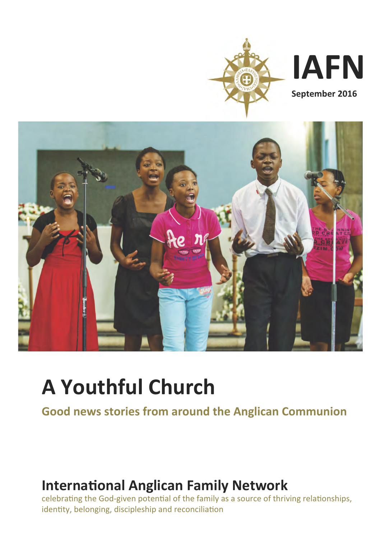

**IAFN**

**September 2016**



# **A Youthful Church**

**Good news stories from around the Anglican Communion**

# **International Anglican Family Network**

celebrating the God-given potential of the family as a source of thriving relationships, identity, belonging, discipleship and reconciliation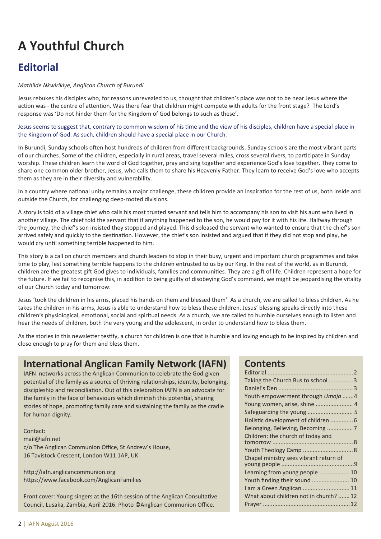# **A Youthful Church**

# **Editorial**

#### *Mathilde Nkwirikiye, Anglican Church of Burundi*

Jesus rebukes his disciples who, for reasons unrevealed to us, thought that children's place was not to be near Jesus where the action was - the centre of attention. Was there fear that children might compete with adults for the front stage? The Lord's response was 'Do not hinder them for the Kingdom of God belongs to such as these'.

Jesus seems to suggest that, contrary to common wisdom of his time and the view of his disciples, children have a special place in the Kingdom of God. As such, children should have a special place in our Church.

In Burundi, Sunday schools often host hundreds of children from different backgrounds. Sunday schools are the most vibrant parts of our churches. Some of the children, especially in rural areas, travel several miles, cross several rivers, to participate in Sunday worship. These children learn the word of God together, pray and sing together and experience God's love together. They come to share one common older brother, Jesus, who calls them to share his Heavenly Father. They learn to receive God's love who accepts them as they are in their diversity and vulnerability.

In a country where national unity remains a major challenge, these children provide an inspiration for the rest of us, both inside and outside the Church, for challenging deep-rooted divisions.

A story is told of a village chief who calls his most trusted servant and tells him to accompany his son to visit his aunt who lived in another village. The chief told the servant that if anything happened to the son, he would pay for it with his life. Halfway through the journey, the chief's son insisted they stopped and played. This displeased the servant who wanted to ensure that the chief's son arrived safely and quickly to the destination. However, the chief's son insisted and argued that if they did not stop and play, he would cry until something terrible happened to him.

This story is a call on church members and church leaders to stop in their busy, urgent and important church programmes and take time to play, lest something terrible happens to the children entrusted to us by our King. In the rest of the world, as in Burundi, children are the greatest gift God gives to individuals, families and communities. They are a gift of life. Children represent a hope for the future. If we fail to recognise this, in addition to being guilty of disobeying God's command, we might be jeopardising the vitality of our Church today and tomorrow.

Jesus 'took the children in his arms, placed his hands on them and blessed them'. As a church, we are called to bless children. As he takes the children in his arms, Jesus is able to understand how to bless these children. Jesus' blessing speaks directly into these children's physiological, emotional, social and spiritual needs. As a church, we are called to humble ourselves enough to listen and hear the needs of children, both the very young and the adolescent, in order to understand how to bless them.

As the stories in this newsletter testify, a church for children is one that is humble and loving enough to be inspired by children and close enough to pray for them and bless them.

### **International Anglican Family Network (IAFN)**

IAFN networks across the Anglican Communion to celebrate the God-given potential of the family as a source of thriving relationships, identity, belonging, discipleship and reconciliation. Out of this celebration IAFN is an advocate for the family in the face of behaviours which diminish this potential, sharing stories of hope, promoting family care and sustaining the family as the cradle for human dignity.

Contact: mail@iafn.net c/o The Anglican Communion Office, St Andrew's House, 16 Tavistock Crescent, London W11 1AP, UK

http://iafn.anglicancommunion.org https://www.facebook.com/AnglicanFamilies

Front cover: Young singers at the 16th session of the Anglican Consultative Council, Lusaka, Zambia, April 2016. Photo ©Anglican Communion Office.

### **Contents**

| Taking the Church Bus to school 3      |  |
|----------------------------------------|--|
|                                        |  |
| Youth empowerment through Umoja 4      |  |
|                                        |  |
| Safeguarding the young  5              |  |
| Holistic development of children  6    |  |
| Belonging, Believing, Becoming  7      |  |
| Children: the church of today and      |  |
|                                        |  |
|                                        |  |
| Chapel ministry sees vibrant return of |  |
|                                        |  |
| Learning from young people 10          |  |
| Youth finding their sound  10          |  |
| I am a Green Anglican  11              |  |
| What about children not in church?  12 |  |
|                                        |  |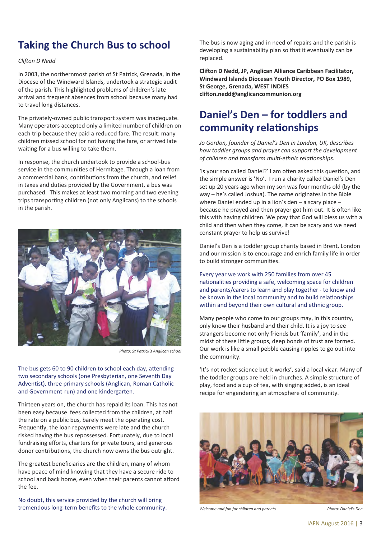# **Taking the Church Bus to school**

#### **Clifton D Nedd**

In 2003, the northernmost parish of St Patrick, Grenada, in the Diocese of the Windward Islands, undertook a strategic audit of the parish. This highlighted problems of children's late arrival and frequent absences from school because many had to travel long distances.

The privately-owned public transport system was inadequate. Many operators accepted only a limited number of children on each trip because they paid a reduced fare. The result: many children missed school for not having the fare, or arrived late waiting for a bus willing to take them.

In response, the church undertook to provide a school-bus service in the communities of Hermitage. Through a loan from a commercial bank, contributions from the church, and relief in taxes and duties provided by the Government, a bus was purchased. This makes at least two morning and two evening trips transporting children (not only Anglicans) to the schools in the parish.



*Photo: St Patrick's Anglican school*

The bus gets 60 to 90 children to school each day, attending two secondary schools (one Presbyterian, one Seventh Day Adventist), three primary schools (Anglican, Roman Catholic and Government-run) and one kindergarten.

Thirteen years on, the church has repaid its loan. This has not been easy because fees collected from the children, at half the rate on a public bus, barely meet the operating cost. Frequently, the loan repayments were late and the church risked having the bus repossessed. Fortunately, due to local fundraising efforts, charters for private tours, and generous donor contributions, the church now owns the bus outright.

The greatest beneficiaries are the children, many of whom have peace of mind knowing that they have a secure ride to school and back home, even when their parents cannot afford the fee.

No doubt, this service provided by the church will bring tremendous long-term benefits to the whole community. The bus is now aging and in need of repairs and the parish is developing a sustainability plan so that it eventually can be replaced.

**Cli%on D Nedd, JP, Anglican Alliance Caribbean Facilitator, Windward Islands Diocesan Youth Director, PO Box 1989, St George, Grenada, WEST INDIES cli%on.nedd@anglicancommunion.org**

### **Daniel's Den – for toddlers and** community relationships

*Jo Gordon, founder of Daniel's Den in London, UK, describes how toddler groups and prayer can support the development* of children and transform multi-ethnic relationships.

'Is your son called Daniel?' I am often asked this question, and the simple answer is 'No'. I run a charity called Daniel's Den set up 20 years ago when my son was four months old (by the way – he's called Joshua). The name originates in the Bible where Daniel ended up in a lion's den – a scary place – because he prayed and then prayer got him out. It is often like this with having children. We pray that God will bless us with a child and then when they come, it can be scary and we need constant prayer to help us survive!

Daniel's Den is a toddler group charity based in Brent, London and our mission is to encourage and enrich family life in order to build stronger communities.

Every year we work with 250 families from over 45 nationalities providing a safe, welcoming space for children and parents/carers to learn and play together - to know and be known in the local community and to build relationships within and beyond their own cultural and ethnic group.

Many people who come to our groups may, in this country, only know their husband and their child. It is a joy to see strangers become not only friends but 'family', and in the midst of these little groups, deep bonds of trust are formed. Our work is like a small pebble causing ripples to go out into the community.

'It's not rocket science but it works', said a local vicar. Many of the toddler groups are held in churches. A simple structure of play, food and a cup of tea, with singing added, is an ideal recipe for engendering an atmosphere of community.



*Welcome and fun for children and parents*

*Photo: Daniel's Den*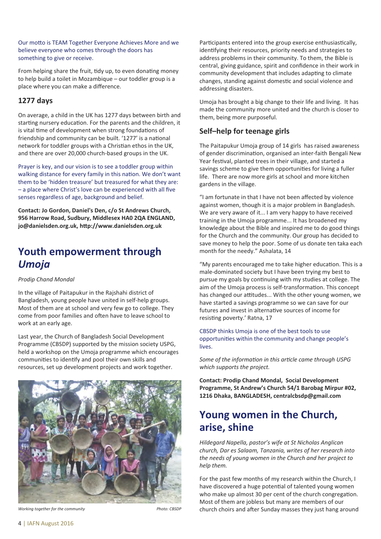Our motto is TEAM Together Everyone Achieves More and we believe everyone who comes through the doors has something to give or receive.

From helping share the fruit, tidy up, to even donating money to help build a toilet in Mozambique – our toddler group is a place where you can make a difference.

### **1277 days**

On average, a child in the UK has 1277 days between birth and starting nursery education. For the parents and the children, it is vital time of development when strong foundations of friendship and community can be built. '1277' is a national network for toddler groups with a Christian ethos in the UK, and there are over 20,000 church-based groups in the UK.

Prayer is key, and our vision is to see a toddler group within walking distance for every family in this nation. We don't want them to be 'hidden treasure' but treasured for what they are: – a place where Christ's love can be experienced with all five senses regardless of age, background and belief.

**Contact: Jo Gordon, Daniel's Den, c/o St Andrews Church, 956 Harrow Road, Sudbury, Middlesex HA0 2QA ENGLAND, jo@danielsden.org.uk, h4p://www.danielsden.org.uk**

### **Youth empowerment through** *Umoja*

#### *Prodip Chand Mondal*

In the village of Paitapukur in the Rajshahi district of Bangladesh, young people have united in self-help groups. Most of them are at school and very few go to college. They come from poor families and often have to leave school to work at an early age.

Last year, the Church of Bangladesh Social Development Programme (CBSDP) supported by the mission society USPG, held a workshop on the Umoja programme which encourages communities to identify and pool their own skills and resources, set up development projects and work together.



*Working together for the community Photo: CBSDP*

Participants entered into the group exercise enthusiastically, identifying their resources, priority needs and strategies to address problems in their community. To them, the Bible is central, giving guidance, spirit and confidence in their work in community development that includes adapting to climate changes, standing against domestic and social violence and addressing disasters.

Umoja has brought a big change to their life and living. It has made the community more united and the church is closer to them, being more purposeful.

### **Self–help for teenage girls**

The Paitapukur Umoja group of 14 girls has raised awareness of gender discrimination, organised an inter-faith Bengali New Year festival, planted trees in their village, and started a savings scheme to give them opportunities for living a fuller life. There are now more girls at school and more kitchen gardens in the village.

"I am fortunate in that I have not been affected by violence against women, though it is a major problem in Bangladesh. We are very aware of it... I am very happy to have received training in the Umoja programme... It has broadened my knowledge about the Bible and inspired me to do good things for the Church and the community. Our group has decided to save money to help the poor. Some of us donate ten taka each month for the needy." Ashalata, 14

"My parents encouraged me to take higher education. This is a male-dominated society but I have been trying my best to pursue my goals by continuing with my studies at college. The aim of the Umoja process is self-transformation. This concept has changed our attitudes... With the other young women, we have started a savings programme so we can save for our futures and invest in alternative sources of income for resisting poverty.' Ratna, 17

CBSDP thinks Umoja is one of the best tools to use opportunities within the community and change people's lives.

Some of the information in this article came through USPG *which supports the project.*

**Contact: Prodip Chand Mondal, Social Development Programme, St Andrew's Church 54/1 Barobag Mirpur #02, 1216 Dhaka, BANGLADESH, centralcbsdp@gmail.com**

### **Young women in the Church, arise, shine**

*Hildegard Napella, pastor's wife at St Nicholas Anglican church, Dar es Salaam, Tanzania, writes of her research into the needs of young women in the Church and her project to help them.*

For the past few months of my research within the Church, I have discovered a huge potential of talented young women who make up almost 30 per cent of the church congregation. Most of them are jobless but many are members of our church choirs and after Sunday masses they just hang around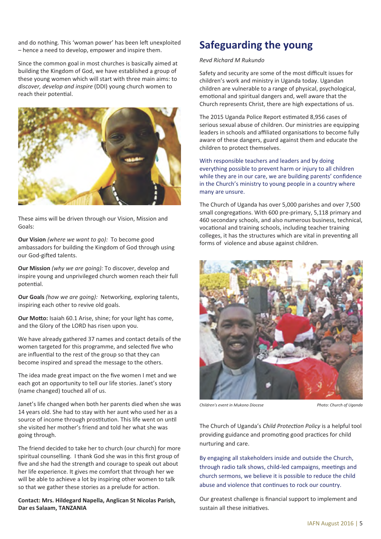and do nothing. This 'woman power' has been left unexploited – hence a need to develop, empower and inspire them.

Since the common goal in most churches is basically aimed at building the Kingdom of God, we have established a group of these young women which will start with three main aims: to *discover, develop and inspire* (DDI) young church women to reach their potential.



These aims will be driven through our Vision, Mission and Goals:

**Our Vision** *(where we want to go):* To become good ambassadors for building the Kingdom of God through using our God-gifted talents.

**Our Mission** *(why we are going):* To discover, develop and inspire young and unprivileged church women reach their full potential.

**Our Goals** *(how we are going):* Networking, exploring talents, inspiring each other to revive old goals.

**Our Motto:** Isaiah 60.1 Arise, shine; for your light has come, and the Glory of the LORD has risen upon you.

We have already gathered 37 names and contact details of the women targeted for this programme, and selected five who are influential to the rest of the group so that they can become inspired and spread the message to the others.

The idea made great impact on the five women I met and we each got an opportunity to tell our life stories. Janet's story (name changed) touched all of us.

Janet's life changed when both her parents died when she was 14 years old. She had to stay with her aunt who used her as a source of income through prostitution. This life went on until she visited her mother's friend and told her what she was going through.

The friend decided to take her to church (our church) for more spiritual counselling. I thank God she was in this first group of five and she had the strength and courage to speak out about her life experience. It gives me comfort that through her we will be able to achieve a lot by inspiring other women to talk so that we gather these stories as a prelude for action.

**Contact: Mrs. Hildegard Napella, Anglican St Nicolas Parish, Dar es Salaam, TANZANIA**

# **Safeguarding the young**

#### *Revd Richard M Rukundo*

Safety and security are some of the most difficult issues for children's work and ministry in Uganda today. Ugandan children are vulnerable to a range of physical, psychological, emotional and spiritual dangers and, well aware that the Church represents Christ, there are high expectations of us.

The 2015 Uganda Police Report estimated 8,956 cases of serious sexual abuse of children. Our ministries are equipping leaders in schools and affiliated organisations to become fully aware of these dangers, guard against them and educate the children to protect themselves.

With responsible teachers and leaders and by doing everything possible to prevent harm or injury to all children while they are in our care, we are building parents' confidence in the Church's ministry to young people in a country where many are unsure.

The Church of Uganda has over 5,000 parishes and over 7,500 small congregations. With 600 pre-primary, 5,118 primary and 460 secondary schools, and also numerous business, technical, vocational and training schools, including teacher training colleges, it has the structures which are vital in preventing all forms of violence and abuse against children.



*Children's event in Mukono Diocese Photo: Church of Uganda*

The Church of Uganda's *Child Protection Policy* is a helpful tool providing guidance and promoting good practices for child nurturing and care.

By engaging all stakeholders inside and outside the Church, through radio talk shows, child-led campaigns, meetings and church sermons, we believe it is possible to reduce the child abuse and violence that continues to rock our country.

Our greatest challenge is financial support to implement and sustain all these initiatives.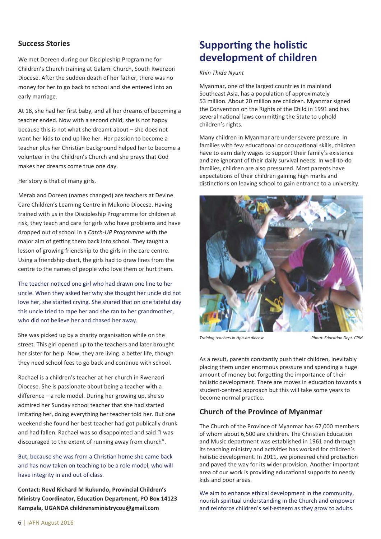### **Success Stories**

We met Doreen during our Discipleship Programme for Children's Church training at Galami Church, South Rwenzori Diocese. After the sudden death of her father, there was no money for her to go back to school and she entered into an early marriage.

At 18, she had her first baby, and all her dreams of becoming a teacher ended. Now with a second child, she is not happy because this is not what she dreamt about – she does not want her kids to end up like her. Her passion to become a teacher plus her Christian background helped her to become a volunteer in the Children's Church and she prays that God makes her dreams come true one day.

Her story is that of many girls.

Merab and Doreen (names changed) are teachers at Devine Care Children's Learning Centre in Mukono Diocese. Having trained with us in the Discipleship Programme for children at risk, they teach and care for girls who have problems and have dropped out of school in a *Catch-UP Programme* with the major aim of getting them back into school. They taught a lesson of growing friendship to the girls in the care centre. Using a friendship chart, the girls had to draw lines from the centre to the names of people who love them or hurt them.

The teacher noticed one girl who had drawn one line to her uncle. When they asked her why she thought her uncle did not love her, she started crying. She shared that on one fateful day this uncle tried to rape her and she ran to her grandmother, who did not believe her and chased her away.

She was picked up by a charity organisation while on the street. This girl opened up to the teachers and later brought her sister for help. Now, they are living a better life, though they need school fees to go back and continue with school.

Rachael is a children's teacher at her church in Rwenzori Diocese. She is passionate about being a teacher with a difference – a role model. During her growing up, she so admired her Sunday school teacher that she had started imitating her, doing everything her teacher told her. But one weekend she found her best teacher had got publically drunk and had fallen. Rachael was so disappointed and said "I was discouraged to the extent of running away from church".

But, because she was from a Christian home she came back and has now taken on teaching to be a role model, who will have integrity in and out of class.

**Contact: Revd Richard M Rukundo, Provincial Children's Ministry Coordinator, Education Department, PO Box 14123 Kampala, UGANDA childrensministrycou@gmail.com**

### **Supporting the holistic development of children**

#### *Khin Thida Nyunt*

Myanmar, one of the largest countries in mainland Southeast Asia, has a population of approximately 53 million. About 20 million are children. Myanmar signed the Convention on the Rights of the Child in 1991 and has several national laws committing the State to uphold children's rights.

Many children in Myanmar are under severe pressure. In families with few educational or occupational skills, children have to earn daily wages to support their family's existence and are ignorant of their daily survival needs. In well-to-do families, children are also pressured. Most parents have expectations of their children gaining high marks and distinctions on leaving school to gain entrance to a university.



*Training teachers in Hpa-an diocese Photo: Education Dept. CPM* 

As a result, parents constantly push their children, inevitably placing them under enormous pressure and spending a huge amount of money but forgetting the importance of their holistic development. There are moves in education towards a student-centred approach but this will take some years to become normal practice.

### **Church of the Province of Myanmar**

The Church of the Province of Myanmar has 67,000 members of whom about 6,500 are children. The Christian Education and Music department was established in 1961 and through its teaching ministry and activities has worked for children's holistic development. In 2011, we pioneered child protection and paved the way for its wider provision. Another important area of our work is providing educational supports to needy kids and poor areas.

We aim to enhance ethical development in the community, nourish spiritual understanding in the Church and empower and reinforce children's self-esteem as they grow to adults.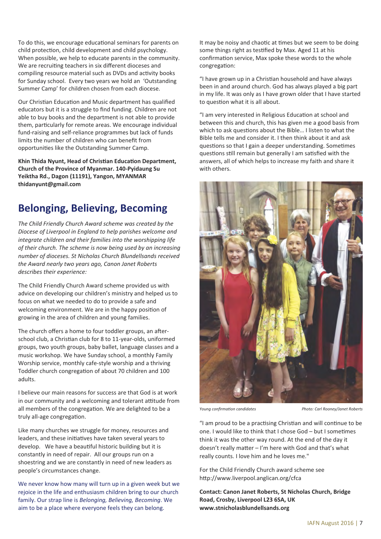To do this, we encourage educational seminars for parents on child protection, child development and child psychology. When possible, we help to educate parents in the community. We are recruiting teachers in six different dioceses and compiling resource material such as DVDs and activity books for Sunday school. Every two years we hold an 'Outstanding Summer Camp' for children chosen from each diocese.

Our Christian Education and Music department has qualified educators but it is a struggle to find funding. Children are not able to buy books and the department is not able to provide them, particularly for remote areas. We encourage individual fund-raising and self-reliance programmes but lack of funds limits the number of children who can benefit from opportunities like the Outstanding Summer Camp.

**Khin Thida Nyunt, Head of Christian Education Department, Church of the Province of Myanmar. 140-Pyidaung Su Yeiktha Rd., Dagon (11191), Yangon, MYANMAR thidanyunt@gmail.com**

### **Belonging, Believing, Becoming**

*The Child Friendly Church Award scheme was created by the Diocese of Liverpool in England to help parishes welcome and integrate children and their families into the worshipping life of their church. The scheme is now being used by an increasing number of dioceses. St Nicholas Church Blundellsands received the Award nearly two years ago, Canon Janet Roberts describes their experience:*

The Child Friendly Church Award scheme provided us with advice on developing our children's ministry and helped us to focus on what we needed to do to provide a safe and welcoming environment. We are in the happy position of growing in the area of children and young families.

The church offers a home to four toddler groups, an afterschool club, a Christian club for 8 to 11-year-olds, uniformed groups, two youth groups, baby ballet, language classes and a music workshop. We have Sunday school, a monthly Family Worship service, monthly cafe-style worship and a thriving Toddler church congregation of about 70 children and 100 adults.

I believe our main reasons for success are that God is at work in our community and a welcoming and tolerant attitude from all members of the congregation. We are delighted to be a truly all-age congregation.

Like many churches we struggle for money, resources and leaders, and these initiatives have taken several years to develop. We have a beautiful historic building but it is constantly in need of repair. All our groups run on a shoestring and we are constantly in need of new leaders as people's circumstances change.

We never know how many will turn up in a given week but we rejoice in the life and enthusiasm children bring to our church family. Our strap line is *Belonging, Believing, Becoming*. We aim to be a place where everyone feels they can belong.

It may be noisy and chaotic at times but we seem to be doing some things right as testified by Max. Aged 11 at his confirmation service, Max spoke these words to the whole congregation:

"I have grown up in a Christian household and have always been in and around church. God has always played a big part in my life. It was only as I have grown older that I have started to question what it is all about.

"I am very interested in Religious Education at school and between this and church, this has given me a good basis from which to ask questions about the Bible... I listen to what the Bible tells me and consider it. I then think about it and ask questions so that I gain a deeper understanding. Sometimes questions still remain but generally I am satisfied with the answers, all of which helps to increase my faith and share it with others.



*Young confirmation candidates Photo: Carl Rooney/Janet Roberts* 

"I am proud to be a practising Christian and will continue to be one. I would like to think that I chose God – but I sometimes think it was the other way round. At the end of the day it doesn't really matter  $-$  I'm here with God and that's what really counts. I love him and he loves me."

For the Child Friendly Church award scheme see http://www.liverpool.anglican.org/cfca

**Contact: Canon Janet Roberts, St Nicholas Church, Bridge Road, Crosby, Liverpool L23 6SA, UK www.stnicholasblundellsands.org**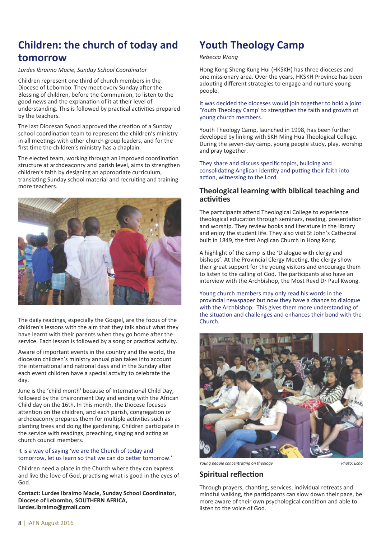# **Children: the church of today and tomorrow**

*Lurdes Ibraimo Macie, Sunday School Coordinator*

Children represent one third of church members in the Diocese of Lebombo. They meet every Sunday after the Blessing of children, before the Communion, to listen to the good news and the explanation of it at their level of understanding. This is followed by practical activities prepared by the teachers.

The last Diocesan Synod approved the creation of a Sunday school coordination team to represent the children's ministry in all meetings with other church group leaders, and for the first time the children's ministry has a chaplain.

The elected team, working through an improved coordination structure at archdeaconry and parish level, aims to strengthen children's faith by designing an appropriate curriculum, translating Sunday school material and recruiting and training more teachers.



The daily readings, especially the Gospel, are the focus of the children's lessons with the aim that they talk about what they have learnt with their parents when they go home after the service. Each lesson is followed by a song or practical activity.

Aware of important events in the country and the world, the diocesan children's ministry annual plan takes into account the international and national days and in the Sunday after each event children have a special activity to celebrate the day.

June is the 'child month' because of International Child Day, followed by the Environment Day and ending with the African Child day on the 16th. In this month, the Diocese focuses attention on the children, and each parish, congregation or archdeaconry prepares them for multiple activities such as planting trees and doing the gardening. Children participate in the service with readings, preaching, singing and acting as church council members.

#### It is a way of saying 'we are the Church of today and tomorrow, let us learn so that we can do better tomorrow.'

Children need a place in the Church where they can express and live the love of God, practising what is good in the eyes of God.

**Contact: Lurdes Ibraimo Macie, Sunday School Coordinator, Diocese of Lebombo, SOUTHERN AFRICA, lurdes.ibraimo@gmail.com**

# **Youth Theology Camp**

#### *Rebecca Wong*

Hong Kong Sheng Kung Hui (HKSKH) has three dioceses and one missionary area. Over the years, HKSKH Province has been adopting different strategies to engage and nurture young people.

#### It was decided the dioceses would join together to hold a joint 'Youth Theology Camp' to strengthen the faith and growth of young church members.

Youth Theology Camp, launched in 1998, has been further developed by linking with SKH Ming Hua Theological College. During the seven-day camp, young people study, play, worship and pray together.

They share and discuss specific topics, building and consolidating Anglican identity and putting their faith into action, witnessing to the Lord.

### **Theological learning with biblical teaching and** activities

The participants attend Theological College to experience theological education through seminars, reading, presentation and worship. They review books and literature in the library and enjoy the student life. They also visit St John's Cathedral built in 1849, the first Anglican Church in Hong Kong.

A highlight of the camp is the 'Dialogue with clergy and bishops'. At the Provincial Clergy Meeting, the clergy show their great support for the young visitors and encourage them to listen to the calling of God. The participants also have an interview with the Archbishop, the Most Revd Dr Paul Kwong.

Young church members may only read his words in the provincial newspaper but now they have a chance to dialogue with the Archbishop. This gives them more understanding of the situation and challenges and enhances their bond with the Church.



*Young people concentrating on theology Photo: Echo* 

### **Spiritual reflection**

Through prayers, chanting, services, individual retreats and mindful walking, the participants can slow down their pace, be more aware of their own psychological condition and able to listen to the voice of God.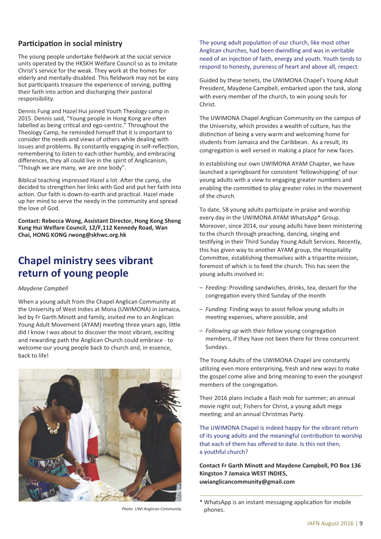### **Participation in social ministry**

The young people undertake fieldwork at the social service units operated by the HKSKH Welfare Council so as to imitate Christ's service for the weak. They work at the homes for elderly and mentally-disabled. This fieldwork may not be easy but participants treasure the experience of serving, putting their faith into action and discharging their pastoral responsibility.

Dennis Fung and Hazel Hui joined Youth Theology camp in 2015. Dennis said, "Young people in Hong Kong are often labelled as being critical and ego-centric." Throughout the Theology Camp, he reminded himself that it is important to consider the needs and views of others while dealing with issues and problems. By constantly engaging in self-reflection, remembering to listen to each other humbly, and embracing differences, they all could live in the spirit of Anglicanism, "Though we are many, we are one body".

Biblical teaching impressed Hazel a lot. After the camp, she decided to strengthen her links with God and put her faith into action. Our faith is down-to-earth and practical. Hazel made up her mind to serve the needy in the community and spread the love of God.

**Contact: Rebecca Wong, Assistant Director, Hong Kong Sheng Kung Hui Welfare Council, 12/F,112 Kennedy Road, Wan Chai, HONG KONG rwong@skhwc.org.hk**

### **Chapel ministry sees vibrant return of young people**

#### *Maydene Campbell*

When a young adult from the Chapel Anglican Community at the University of West Indies at Mona (UWIMONA) in Jamaica, led by Fr Garth Minott and family, invited me to an Anglican Young Adult Movement (AYAM) meeting three years ago, little did I know I was about to discover the most vibrant, exciting and rewarding path the Anglican Church could embrace - to welcome our young people back to church and, in essence, back to life!



*Photo: UWI Anglican Community*

The young adult population of our church, like most other Anglican churches, had been dwindling and was in veritable need of an injection of faith, energy and youth. Youth tends to respond to honesty, pureness of heart and above all, respect.

Guided by these tenets, the UWIMONA Chapel's Young Adult President, Maydene Campbell, embarked upon the task, along with every member of the church, to win young souls for Christ.

The UWIMONA Chapel Anglican Community on the campus of the University, which provides a wealth of culture, has the distinction of being a very warm and welcoming home for students from Jamaica and the Caribbean. As a result, its congregation is well versed in making a place for new faces.

In establishing our own UWIMONA AYAM Chapter, we have launched a springboard for consistent 'fellowshipping' of our young adults with a view to engaging greater numbers and enabling the committed to play greater roles in the movement of the church.

To date, 58 young adults participate in praise and worship every day in the UWIMONA AYAM WhatsApp\* Group. Moreover, since 2014, our young adults have been ministering to the church through preaching, dancing, singing and testifying in their Third Sunday Young Adult Services. Recently, this has given way to another AYAM group, the Hospitality Committee, establishing themselves with a tripartite mission, foremost of which is to feed the church. This has seen the young adults involved in:

- *Feeding:* Providing sandwiches, drinks, tea, dessert for the congregation every third Sunday of the month
- *Funding:* Finding ways to assist fellow young adults in meeting expenses, where possible, and
- Following up with their fellow young congregation members, if they have not been there for three concurrent Sundays.

The Young Adults of the UWIMONA Chapel are constantly utilizing even more enterprising, fresh and new ways to make the gospel come alive and bring meaning to even the youngest members of the congregation.

Their 2016 plans include a flash mob for summer; an annual movie night out; Fishers for Christ, a young adult mega meeting; and an annual Christmas Party.

The UWIMONA Chapel is indeed happy for the vibrant return of its young adults and the meaningful contribution to worship that each of them has offered to date. Is this not then, a youthful church?

**Contact Fr Garth Minott and Maydene Campbell, PO Box 136 Kingston 7 Jamaica WEST INDIES, uwianglicancommunity@gmail.com**

<sup>\*</sup> WhatsApp is an instant messaging application for mobile phones.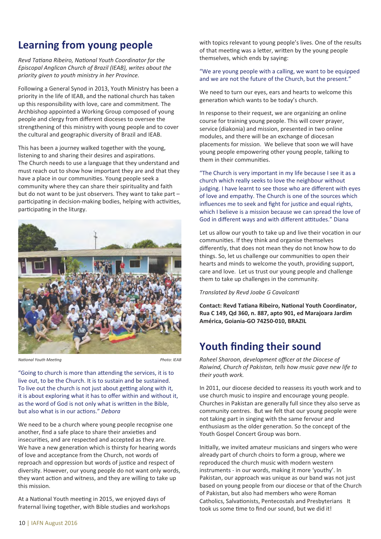# **Learning from young people**

*Revd Tatiana Ribeiro, National Youth Coordinator for the Episcopal Anglican Church of Brazil (IEAB), writes about the priority given to youth ministry in her Province.*

Following a General Synod in 2013, Youth Ministry has been a priority in the life of IEAB, and the national church has taken up this responsibility with love, care and commitment. The Archbishop appointed a Working Group composed of young people and clergy from different dioceses to oversee the strengthening of this ministry with young people and to cover the cultural and geographic diversity of Brazil and IEAB.

This has been a journey walked together with the young, listening to and sharing their desires and aspirations. The Church needs to use a language that they understand and must reach out to show how important they are and that they have a place in our communities. Young people seek a community where they can share their spirituality and faith but do not want to be just observers. They want to take part – participating in decision-making bodies, helping with activities, participating in the liturgy.



*National Youth Meeting Photo: IEAB* 

"Going to church is more than attending the services, it is to live out, to be the Church. It is to sustain and be sustained. To live out the church is not just about getting along with it, it is about exploring what it has to offer within and without it, as the word of God is not only what is written in the Bible. but also what is in our actions." *Deborg* 

We need to be a church where young people recognise one another, find a safe place to share their anxieties and insecurities, and are respected and accepted as they are. We have a new generation which is thirsty for hearing words of love and acceptance from the Church, not words of reproach and oppression but words of justice and respect of diversity. However, our young people do not want only words, they want action and witness, and they are willing to take up this mission.

At a National Youth meeting in 2015, we enjoyed days of fraternal living together, with Bible studies and workshops with topics relevant to young people's lives. One of the results of that meeting was a letter, written by the young people themselves, which ends by saying:

### "We are young people with a calling, we want to be equipped and we are not the future of the Church, but the present."

We need to turn our eyes, ears and hearts to welcome this generation which wants to be today's church.

In response to their request, we are organizing an online course for training young people. This will cover prayer, service (diakonia) and mission, presented in two online modules, and there will be an exchange of diocesan placements for mission. We believe that soon we will have young people empowering other young people, talking to them in their communities.

"The Church is very important in my life because I see it as a church which really seeks to love the neighbour without judging. I have learnt to see those who are different with eyes of love and empathy. The Church is one of the sources which influences me to seek and fight for justice and equal rights, which I believe is a mission because we can spread the love of God in different ways and with different attitudes." Diana

Let us allow our youth to take up and live their vocation in our communities. If they think and organise themselves differently, that does not mean they do not know how to do things. So, let us challenge our communities to open their hearts and minds to welcome the youth, providing support, care and love. Let us trust our young people and challenge them to take up challenges in the community.

### *Translated by Revd Joabe G Cavalcan.*

**Contact: Revd Tatiana Ribeiro, National Youth Coordinator, Rua C 149, Qd 360, n. 887, apto 901, ed Marajoara Jardim América, Goiania-GO 74250-010, BRAZIL**

# **Youth finding their sound**

*Raheel Sharoon, development officer at the Diocese of Raiwind, Church of Pakistan, tells how music gave new life to their youth work.*

In 2011, our diocese decided to reassess its youth work and to use church music to inspire and encourage young people. Churches in Pakistan are generally full since they also serve as community centres. But we felt that our young people were not taking part in singing with the same fervour and enthusiasm as the older generation. So the concept of the Youth Gospel Concert Group was born.

Initially, we invited amateur musicians and singers who were already part of church choirs to form a group, where we reproduced the church music with modern western instruments - in our words, making it more 'youthy'. In Pakistan, our approach was unique as our band was not just based on young people from our diocese or that of the Church of Pakistan, but also had members who were Roman Catholics, Salvationists, Pentecostals and Presbyterians It took us some time to find our sound, but we did it!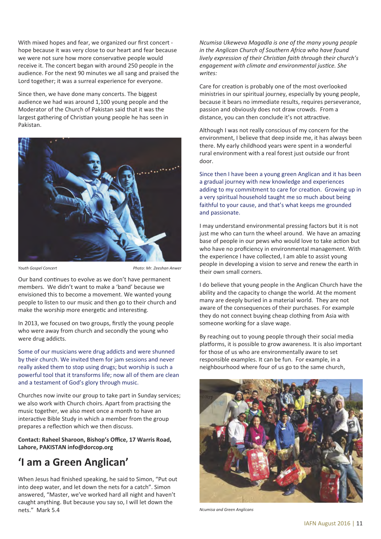With mixed hopes and fear, we organized our first concert hope because it was very close to our heart and fear because we were not sure how more conservative people would receive it. The concert began with around 250 people in the audience. For the next 90 minutes we all sang and praised the Lord together; it was a surreal experience for everyone.

Since then, we have done many concerts. The biggest audience we had was around 1,100 young people and the Moderator of the Church of Pakistan said that it was the largest gathering of Christian young people he has seen in Pakistan.



*Youth Gospel Concert Photo: Mr. Zeeshan Anwer*

Our band continues to evolve as we don't have permanent members. We didn't want to make a 'band' because we envisioned this to become a movement. We wanted young people to listen to our music and then go to their church and make the worship more energetic and interesting.

In 2013, we focused on two groups, firstly the young people who were away from church and secondly the young who were drug addicts.

Some of our musicians were drug addicts and were shunned by their church. We invited them for jam sessions and never really asked them to stop using drugs; but worship is such a powerful tool that it transforms life; now all of them are clean and a testament of God's glory through music.

Churches now invite our group to take part in Sunday services; we also work with Church choirs. Apart from practising the music together, we also meet once a month to have an interactive Bible Study in which a member from the group prepares a reflection which we then discuss.

**Contact: Raheel Sharoon, Bishop's Office, 17 Warris Road, Lahore, PAKISTAN info@dorcop.org**

# **'I am a Green Anglican'**

When Jesus had finished speaking, he said to Simon, "Put out into deep water, and let down the nets for a catch". Simon answered, "Master, we've worked hard all night and haven't caught anything. But because you say so, I will let down the nets." Mark 5.4

*Ncumisa Ukeweva Magadla is one of the many young people in the Anglican Church of Southern Africa who have found lively expression of their Christian faith through their church's* engagement with climate and environmental justice. She *writes:*

Care for creation is probably one of the most overlooked ministries in our spiritual journey, especially by young people, because it bears no immediate results, requires perseverance, passion and obviously does not draw crowds. From a distance, you can then conclude it's not attractive.

Although I was not really conscious of my concern for the environment, I believe that deep inside me, it has always been there. My early childhood years were spent in a wonderful rural environment with a real forest just outside our front door.

Since then I have been a young green Anglican and it has been a gradual journey with new knowledge and experiences adding to my commitment to care for creation. Growing up in a very spiritual household taught me so much about being faithful to your cause, and that's what keeps me grounded and passionate.

I may understand environmental pressing factors but it is not just me who can turn the wheel around. We have an amazing base of people in our pews who would love to take action but who have no proficiency in environmental management. With the experience I have collected, I am able to assist young people in developing a vision to serve and renew the earth in their own small corners.

I do believe that young people in the Anglican Church have the ability and the capacity to change the world. At the moment many are deeply buried in a material world. They are not aware of the consequences of their purchases. For example they do not connect buying cheap clothing from Asia with someone working for a slave wage.

By reaching out to young people through their social media platforms, it is possible to grow awareness. It is also important for those of us who are environmentally aware to set responsible examples. It can be fun. For example, in a neighbourhood where four of us go to the same church,



*Ncumisa and Green Anglicans*